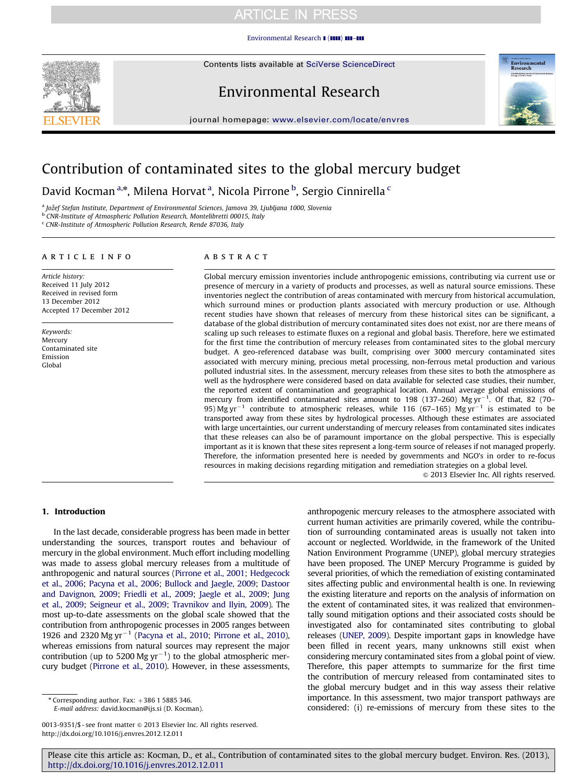[Environmental Research](http://dx.doi.org/10.1016/j.envres.2012.12.011)  $\blacksquare$  ( $\blacksquare\blacksquare$ )  $\blacksquare\blacksquare$ 

Contents lists available at [SciVerse ScienceDirect](www.elsevier.com/locate/envres)



Environmental Research



journal homepage: <www.elsevier.com/locate/envres>

# Contribution of contaminated sites to the global mercury budget

David Kocman<sup>a,</sup>\*, Milena Horvat <sup>a</sup>, Nicola Pirrone <sup>b</sup>, Sergio Cinnirella <sup>c</sup>

<sup>a</sup> Jožef Stefan Institute, Department of Environmental Sciences, Jamova 39, Ljubljana 1000, Slovenia

b CNR-Institute of Atmospheric Pollution Research, Montelibretti 00015, Italy

<sup>c</sup> CNR-Institute of Atmospheric Pollution Research, Rende 87036, Italy

## article info

Article history: Received 11 July 2012 Received in revised form 13 December 2012 Accepted 17 December 2012

Keywords: Mercury Contaminated site Emission Global

## ABSTRACT

Global mercury emission inventories include anthropogenic emissions, contributing via current use or presence of mercury in a variety of products and processes, as well as natural source emissions. These inventories neglect the contribution of areas contaminated with mercury from historical accumulation, which surround mines or production plants associated with mercury production or use. Although recent studies have shown that releases of mercury from these historical sites can be significant, a database of the global distribution of mercury contaminated sites does not exist, nor are there means of scaling up such releases to estimate fluxes on a regional and global basis. Therefore, here we estimated for the first time the contribution of mercury releases from contaminated sites to the global mercury budget. A geo-referenced database was built, comprising over 3000 mercury contaminated sites associated with mercury mining, precious metal processing, non-ferrous metal production and various polluted industrial sites. In the assessment, mercury releases from these sites to both the atmosphere as well as the hydrosphere were considered based on data available for selected case studies, their number, the reported extent of contamination and geographical location. Annual average global emissions of mercury from identified contaminated sites amount to 198 (137-260) Mg  $yr^{-1}$ . Of that, 82 (70-95) Mg yr<sup>-1</sup> contribute to atmospheric releases, while 116 (67-165) Mg yr<sup>-1</sup> is estimated to be transported away from these sites by hydrological processes. Although these estimates are associated with large uncertainties, our current understanding of mercury releases from contaminated sites indicates that these releases can also be of paramount importance on the global perspective. This is especially important as it is known that these sites represent a long-term source of releases if not managed properly. Therefore, the information presented here is needed by governments and NGO's in order to re-focus resources in making decisions regarding mitigation and remediation strategies on a global level.

 $\odot$  2013 Elsevier Inc. All rights reserved.

## 1. Introduction

In the last decade, considerable progress has been made in better understanding the sources, transport routes and behaviour of mercury in the global environment. Much effort including modelling was made to assess global mercury releases from a multitude of anthropogenic and natural sources [\(Pirrone et al., 2001;](#page-10-0) [Hedgecock](#page-9-0) [et al., 2006](#page-9-0); [Pacyna et al., 2006](#page-9-0); [Bullock and Jaegle, 2009;](#page-9-0) [Dastoor](#page-9-0) [and Davignon, 2009](#page-9-0); [Friedli et al., 2009;](#page-9-0) [Jaegle et al., 2009](#page-9-0); [Jung](#page-9-0) [et al., 2009;](#page-9-0) [Seigneur et al., 2009;](#page-10-0) [Travnikov and Ilyin, 2009\)](#page-10-0). The most up-to-date assessments on the global scale showed that the contribution from anthropogenic processes in 2005 ranges between 1926 and 2320 Mg  $yr^{-1}$  [\(Pacyna et al., 2010;](#page-9-0) [Pirrone et al., 2010\)](#page-9-0), whereas emissions from natural sources may represent the major contribution (up to 5200 Mg  $yr^{-1}$ ) to the global atmospheric mercury budget [\(Pirrone et al., 2010](#page-9-0)). However, in these assessments,

 $*$  Corresponding author. Fax:  $+386$  1 5885 346. E-mail address: [david.kocman@ijs.si \(D. Kocman\)](mailto:david.kocman@ijs.si).

0013-9351/\$ - see front matter  $\circ$  2013 Elsevier Inc. All rights reserved.

<http://dx.doi.org/10.1016/j.envres.2012.12.011>

anthropogenic mercury releases to the atmosphere associated with current human activities are primarily covered, while the contribution of surrounding contaminated areas is usually not taken into account or neglected. Worldwide, in the framework of the United Nation Environment Programme (UNEP), global mercury strategies have been proposed. The UNEP Mercury Programme is guided by several priorities, of which the remediation of existing contaminated sites affecting public and environmental health is one. In reviewing the existing literature and reports on the analysis of information on the extent of contaminated sites, it was realized that environmentally sound mitigation options and their associated costs should be investigated also for contaminated sites contributing to global releases [\(UNEP, 2009](#page-10-0)). Despite important gaps in knowledge have been filled in recent years, many unknowns still exist when considering mercury contaminated sites from a global point of view. Therefore, this paper attempts to summarize for the first time the contribution of mercury released from contaminated sites to the global mercury budget and in this way assess their relative importance. In this assessment, two major transport pathways are considered: (i) re-emissions of mercury from these sites to the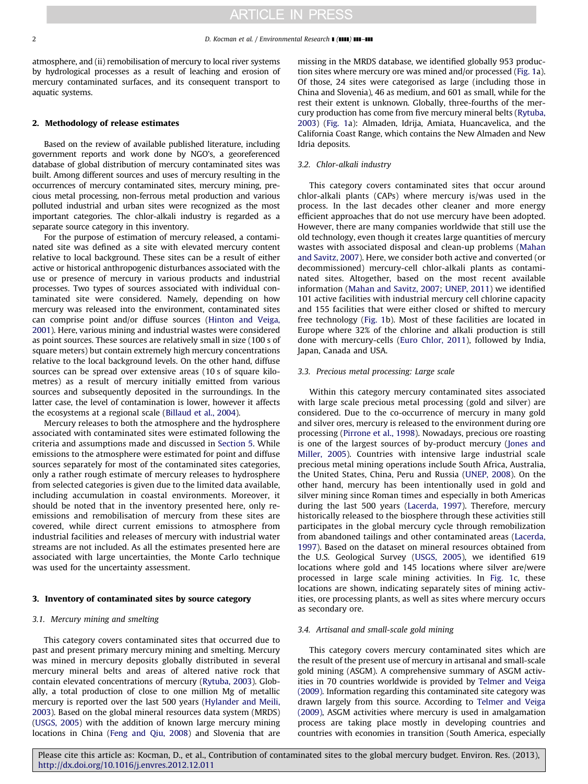atmosphere, and (ii) remobilisation of mercury to local river systems by hydrological processes as a result of leaching and erosion of mercury contaminated surfaces, and its consequent transport to aquatic systems.

#### 2. Methodology of release estimates

Based on the review of available published literature, including government reports and work done by NGO's, a georeferenced database of global distribution of mercury contaminated sites was built. Among different sources and uses of mercury resulting in the occurrences of mercury contaminated sites, mercury mining, precious metal processing, non-ferrous metal production and various polluted industrial and urban sites were recognized as the most important categories. The chlor-alkali industry is regarded as a separate source category in this inventory.

For the purpose of estimation of mercury released, a contaminated site was defined as a site with elevated mercury content relative to local background. These sites can be a result of either active or historical anthropogenic disturbances associated with the use or presence of mercury in various products and industrial processes. Two types of sources associated with individual contaminated site were considered. Namely, depending on how mercury was released into the environment, contaminated sites can comprise point and/or diffuse sources [\(Hinton and Veiga,](#page-9-0) [2001\)](#page-9-0). Here, various mining and industrial wastes were considered as point sources. These sources are relatively small in size (100 s of square meters) but contain extremely high mercury concentrations relative to the local background levels. On the other hand, diffuse sources can be spread over extensive areas (10 s of square kilometres) as a result of mercury initially emitted from various sources and subsequently deposited in the surroundings. In the latter case, the level of contamination is lower, however it affects the ecosystems at a regional scale ([Billaud et al., 2004\)](#page-9-0).

Mercury releases to both the atmosphere and the hydrosphere associated with contaminated sites were estimated following the criteria and assumptions made and discussed in [Section 5](#page-4-0). While emissions to the atmosphere were estimated for point and diffuse sources separately for most of the contaminated sites categories, only a rather rough estimate of mercury releases to hydrosphere from selected categories is given due to the limited data available, including accumulation in coastal environments. Moreover, it should be noted that in the inventory presented here, only reemissions and remobilisation of mercury from these sites are covered, while direct current emissions to atmosphere from industrial facilities and releases of mercury with industrial water streams are not included. As all the estimates presented here are associated with large uncertainties, the Monte Carlo technique was used for the uncertainty assessment.

## 3. Inventory of contaminated sites by source category

#### 3.1. Mercury mining and smelting

This category covers contaminated sites that occurred due to past and present primary mercury mining and smelting. Mercury was mined in mercury deposits globally distributed in several mercury mineral belts and areas of altered native rock that contain elevated concentrations of mercury [\(Rytuba, 2003](#page-10-0)). Globally, a total production of close to one million Mg of metallic mercury is reported over the last 500 years ([Hylander and Meili,](#page-9-0) [2003\)](#page-9-0). Based on the global mineral resources data system (MRDS) ([USGS, 2005](#page-10-0)) with the addition of known large mercury mining locations in China ([Feng and Qiu, 2008](#page-9-0)) and Slovenia that are missing in the MRDS database, we identified globally 953 production sites where mercury ore was mined and/or processed ([Fig. 1a](#page-2-0)). Of those, 24 sites were categorised as large (including those in China and Slovenia), 46 as medium, and 601 as small, while for the rest their extent is unknown. Globally, three-fourths of the mercury production has come from five mercury mineral belts [\(Rytuba,](#page-10-0) [2003](#page-10-0)) ([Fig. 1a](#page-2-0)): Almaden, Idrija, Amiata, Huancavelica, and the California Coast Range, which contains the New Almaden and New Idria deposits.

#### 3.2. Chlor-alkali industry

This category covers contaminated sites that occur around chlor-alkali plants (CAPs) where mercury is/was used in the process. In the last decades other cleaner and more energy efficient approaches that do not use mercury have been adopted. However, there are many companies worldwide that still use the old technology, even though it creates large quantities of mercury wastes with associated disposal and clean-up problems [\(Mahan](#page-9-0) [and Savitz, 2007\)](#page-9-0). Here, we consider both active and converted (or decommissioned) mercury-cell chlor-alkali plants as contaminated sites. Altogether, based on the most recent available information [\(Mahan and Savitz, 2007](#page-9-0); [UNEP, 2011](#page-10-0)) we identified 101 active facilities with industrial mercury cell chlorine capacity and 155 facilities that were either closed or shifted to mercury free technology [\(Fig. 1b](#page-2-0)). Most of these facilities are located in Europe where 32% of the chlorine and alkali production is still done with mercury-cells [\(Euro Chlor, 2011](#page-9-0)), followed by India, Japan, Canada and USA.

## 3.3. Precious metal processing: Large scale

Within this category mercury contaminated sites associated with large scale precious metal processing (gold and silver) are considered. Due to the co-occurrence of mercury in many gold and silver ores, mercury is released to the environment during ore processing ([Pirrone et al., 1998](#page-9-0)). Nowadays, precious ore roasting is one of the largest sources of by-product mercury ([Jones and](#page-9-0) [Miller, 2005](#page-9-0)). Countries with intensive large industrial scale precious metal mining operations include South Africa, Australia, the United States, China, Peru and Russia ([UNEP, 2008](#page-10-0)). On the other hand, mercury has been intentionally used in gold and silver mining since Roman times and especially in both Americas during the last 500 years ([Lacerda, 1997\)](#page-9-0). Therefore, mercury historically released to the biosphere through these activities still participates in the global mercury cycle through remobilization from abandoned tailings and other contaminated areas ([Lacerda,](#page-9-0) [1997\)](#page-9-0). Based on the dataset on mineral resources obtained from the U.S. Geological Survey [\(USGS, 2005\)](#page-10-0), we identified 619 locations where gold and 145 locations where silver are/were processed in large scale mining activities. In [Fig. 1c](#page-2-0), these locations are shown, indicating separately sites of mining activities, ore processing plants, as well as sites where mercury occurs as secondary ore.

#### 3.4. Artisanal and small-scale gold mining

This category covers mercury contaminated sites which are the result of the present use of mercury in artisanal and small-scale gold mining (ASGM). A comprehensive summary of ASGM activities in 70 countries worldwide is provided by [Telmer and Veiga](#page-10-0) [\(2009\)](#page-10-0). Information regarding this contaminated site category was drawn largely from this source. According to [Telmer and Veiga](#page-10-0) [\(2009\)](#page-10-0), ASGM activities where mercury is used in amalgamation process are taking place mostly in developing countries and countries with economies in transition (South America, especially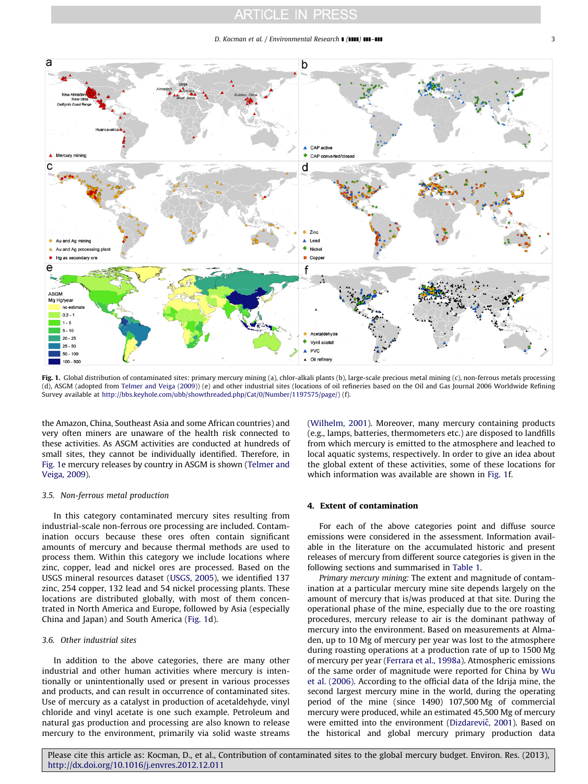D. Kocman et al. / Environmental Research **I (IIII) III-III 1998 1999 1999 1999 1999 1999 1999 1999 1999 1999 1999 1999 1999 1999 1999 1999 1999 1999 1999 1999 1999 1999 1999**

<span id="page-2-0"></span>

Fig. 1. Global distribution of contaminated sites: primary mercury mining (a), chlor-alkali plants (b), large-scale precious metal mining (c), non-ferrous metals processing (d), ASGM (adopted from [Telmer and Veiga \(2009\)](#page-10-0)) (e) and other industrial sites (locations of oil refineries based on the Oil and Gas Journal 2006 Worldwide Refining Survey available at <http://bbs.keyhole.com/ubb/showthreaded.php/Cat/0/Number/1197575/page/>) (f).

the Amazon, China, Southeast Asia and some African countries) and very often miners are unaware of the health risk connected to these activities. As ASGM activities are conducted at hundreds of small sites, they cannot be individually identified. Therefore, in Fig. 1e mercury releases by country in ASGM is shown [\(Telmer and](#page-10-0) [Veiga, 2009\)](#page-10-0).

### 3.5. Non-ferrous metal production

In this category contaminated mercury sites resulting from industrial-scale non-ferrous ore processing are included. Contamination occurs because these ores often contain significant amounts of mercury and because thermal methods are used to process them. Within this category we include locations where zinc, copper, lead and nickel ores are processed. Based on the USGS mineral resources dataset [\(USGS, 2005\)](#page-10-0), we identified 137 zinc, 254 copper, 132 lead and 54 nickel processing plants. These locations are distributed globally, with most of them concentrated in North America and Europe, followed by Asia (especially China and Japan) and South America (Fig. 1d).

### 3.6. Other industrial sites

In addition to the above categories, there are many other industrial and other human activities where mercury is intentionally or unintentionally used or present in various processes and products, and can result in occurrence of contaminated sites. Use of mercury as a catalyst in production of acetaldehyde, vinyl chloride and vinyl acetate is one such example. Petroleum and natural gas production and processing are also known to release mercury to the environment, primarily via solid waste streams ([Wilhelm, 2001](#page-10-0)). Moreover, many mercury containing products (e.g., lamps, batteries, thermometers etc.) are disposed to landfills from which mercury is emitted to the atmosphere and leached to local aquatic systems, respectively. In order to give an idea about the global extent of these activities, some of these locations for which information was available are shown in Fig. 1f.

## 4. Extent of contamination

For each of the above categories point and diffuse source emissions were considered in the assessment. Information available in the literature on the accumulated historic and present releases of mercury from different source categories is given in the following sections and summarised in [Table 1](#page-3-0).

Primary mercury mining: The extent and magnitude of contamination at a particular mercury mine site depends largely on the amount of mercury that is/was produced at that site. During the operational phase of the mine, especially due to the ore roasting procedures, mercury release to air is the dominant pathway of mercury into the environment. Based on measurements at Almaden, up to 10 Mg of mercury per year was lost to the atmosphere during roasting operations at a production rate of up to 1500 Mg of mercury per year ([Ferrara et al., 1998a\)](#page-9-0). Atmospheric emissions of the same order of magnitude were reported for China by [Wu](#page-10-0) [et al. \(2006\)](#page-10-0). According to the official data of the Idrija mine, the second largest mercury mine in the world, during the operating period of the mine (since 1490) 107,500 Mg of commercial mercury were produced, while an estimated 45,500 Mg of mercury were emitted into the environment (Dizdarevič, 2001). Based on the historical and global mercury primary production data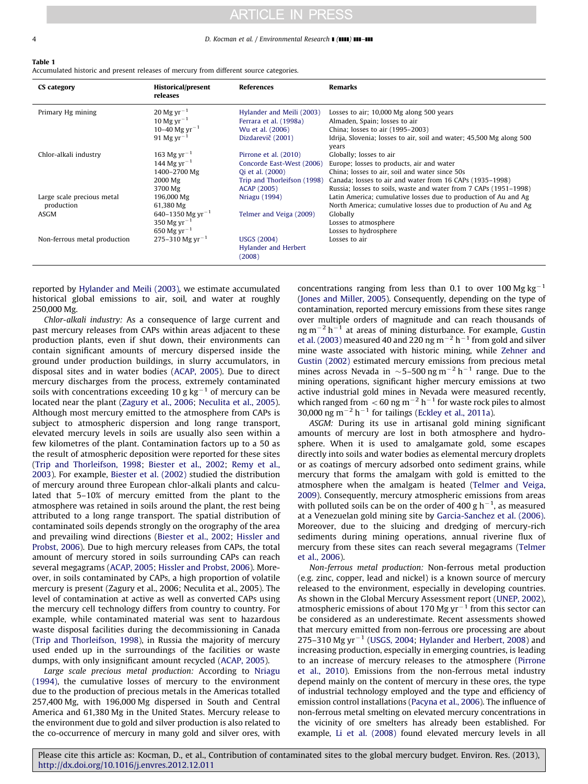#### <span id="page-3-0"></span>4 D. Kocman et al. / Environmental Research **I (IIII) III-III**

| Table 1                                                                                |  |  |
|----------------------------------------------------------------------------------------|--|--|
| Accumulated historic and present releases of mercury from different source categories. |  |  |

| CS category                                             | <b>Historical/present</b><br>releases                                                         | <b>References</b>                                                                                                    | <b>Remarks</b>                                                                                                                                                                                                                                         |
|---------------------------------------------------------|-----------------------------------------------------------------------------------------------|----------------------------------------------------------------------------------------------------------------------|--------------------------------------------------------------------------------------------------------------------------------------------------------------------------------------------------------------------------------------------------------|
| Primary Hg mining                                       | $20$ Mg yr <sup>-1</sup><br>$10$ Mg yr <sup>-1</sup><br>10–40 Mg $yr^{-1}$<br>91 Mg $yr^{-1}$ | Hylander and Meili (2003)<br>Ferrara et al. (1998a)<br>Wu et al. (2006)<br>Dizdarevič (2001)                         | Losses to air; 10,000 Mg along 500 years<br>Almaden, Spain; losses to air<br>China; losses to air (1995-2003)<br>Idrija, Slovenia; losses to air, soil and water; 45,500 Mg along 500<br>years                                                         |
| Chlor-alkali industry                                   | 163 Mg $yr^{-1}$<br>$144$ Mg yr <sup>-1</sup><br>1400-2700 Mg<br>2000 Mg<br>3700 Mg           | Pirrone et al. (2010)<br>Concorde East-West (2006)<br>Qi et al. (2000)<br>Trip and Thorleifson (1998)<br>ACAP (2005) | Globally; losses to air<br>Europe; losses to products, air and water<br>China; losses to air, soil and water since 50s<br>Canada; losses to air and water from 16 CAPs (1935–1998)<br>Russia; losses to soils, waste and water from 7 CAPs (1951–1998) |
| Large scale precious metal<br>production<br><b>ASGM</b> | 196,000 Mg<br>61,380 Mg<br>640-1350 Mg yr <sup>-1</sup>                                       | Nriagu (1994)<br>Telmer and Veiga (2009)                                                                             | Latin America; cumulative losses due to production of Au and Ag<br>North America; cumulative losses due to production of Au and Ag<br>Globally                                                                                                         |
| Non-ferrous metal production                            | 350 Mg $\rm yr^{-1}$<br>650 Mg yr <sup>-1</sup><br>275-310 Mg $\rm yr^{-1}$                   | <b>USGS (2004)</b><br>Hylander and Herbert<br>(2008)                                                                 | Losses to atmosphere<br>Losses to hydrosphere<br>Losses to air                                                                                                                                                                                         |

reported by [Hylander and Meili \(2003\)](#page-9-0), we estimate accumulated historical global emissions to air, soil, and water at roughly 250,000 Mg.

Chlor-alkali industry: As a consequence of large current and past mercury releases from CAPs within areas adjacent to these production plants, even if shut down, their environments can contain significant amounts of mercury dispersed inside the ground under production buildings, in slurry accumulators, in disposal sites and in water bodies [\(ACAP, 2005\)](#page-9-0). Due to direct mercury discharges from the process, extremely contaminated soils with concentrations exceeding 10 g kg $^{-1}$  of mercury can be located near the plant ([Zagury et al., 2006;](#page-10-0) [Neculita et al., 2005\)](#page-9-0). Although most mercury emitted to the atmosphere from CAPs is subject to atmospheric dispersion and long range transport, elevated mercury levels in soils are usually also seen within a few kilometres of the plant. Contamination factors up to a 50 as the result of atmospheric deposition were reported for these sites ([Trip and Thorleifson, 1998](#page-10-0); [Biester et al., 2002;](#page-9-0) [Remy et al.,](#page-10-0) [2003\)](#page-10-0). For example, [Biester et al. \(2002\)](#page-9-0) studied the distribution of mercury around three European chlor-alkali plants and calculated that 5–10% of mercury emitted from the plant to the atmosphere was retained in soils around the plant, the rest being attributed to a long range transport. The spatial distribution of contaminated soils depends strongly on the orography of the area and prevailing wind directions ([Biester et al., 2002](#page-9-0); [Hissler and](#page-9-0) [Probst, 2006\)](#page-9-0). Due to high mercury releases from CAPs, the total amount of mercury stored in soils surrounding CAPs can reach several megagrams ([ACAP, 2005](#page-9-0); [Hissler and Probst, 2006](#page-9-0)). Moreover, in soils contaminated by CAPs, a high proportion of volatile mercury is present (Zagury et al., 2006; Neculita et al., 2005). The level of contamination at active as well as converted CAPs using the mercury cell technology differs from country to country. For example, while contaminated material was sent to hazardous waste disposal facilities during the decommissioning in Canada ([Trip and Thorleifson, 1998\)](#page-10-0), in Russia the majority of mercury used ended up in the surroundings of the facilities or waste dumps, with only insignificant amount recycled ([ACAP, 2005](#page-9-0)).

Large scale precious metal production: According to [Nriagu](#page-9-0) [\(1994\)](#page-9-0), the cumulative losses of mercury to the environment due to the production of precious metals in the Americas totalled 257,400 Mg, with 196,000 Mg dispersed in South and Central America and 61,380 Mg in the United States. Mercury release to the environment due to gold and silver production is also related to the co-occurrence of mercury in many gold and silver ores, with concentrations ranging from less than 0.1 to over 100 Mg  $kg^{-1}$ ([Jones and Miller, 2005](#page-9-0)). Consequently, depending on the type of contamination, reported mercury emissions from these sites range over multiple orders of magnitude and can reach thousands of ng  $m^{-2}$  h<sup>-1</sup> at areas of mining disturbance. For example, [Gustin](#page-9-0) [et al. \(2003\)](#page-9-0) measured 40 and 220 ng  $m^{-2}$  h<sup>-1</sup> from gold and silver mine waste associated with historic mining, while [Zehner and](#page-10-0) [Gustin \(2002\)](#page-10-0) estimated mercury emissions from precious metal mines across Nevada in  $\sim$  5–500 ng m<sup>-2</sup> h<sup>-1</sup> range. Due to the mining operations, significant higher mercury emissions at two active industrial gold mines in Nevada were measured recently, which ranged from  $<$  60 ng m<sup>-2</sup> h<sup>-1</sup> for waste rock piles to almost 30,000 ng m<sup> $-2$ </sup> h<sup> $-1$ </sup> for tailings ([Eckley et al., 2011a\)](#page-9-0).

ASGM: During its use in artisanal gold mining significant amounts of mercury are lost in both atmosphere and hydrosphere. When it is used to amalgamate gold, some escapes directly into soils and water bodies as elemental mercury droplets or as coatings of mercury adsorbed onto sediment grains, while mercury that forms the amalgam with gold is emitted to the atmosphere when the amalgam is heated [\(Telmer and Veiga,](#page-10-0) [2009\)](#page-10-0). Consequently, mercury atmospheric emissions from areas with polluted soils can be on the order of 400 g  $h^{-1}$ , as measured at a Venezuelan gold mining site by [Garcia-Sanchez et al. \(2006\).](#page-9-0) Moreover, due to the sluicing and dredging of mercury-rich sediments during mining operations, annual riverine flux of mercury from these sites can reach several megagrams ([Telmer](#page-10-0) [et al., 2006\)](#page-10-0).

Non-ferrous metal production: Non-ferrous metal production (e.g. zinc, copper, lead and nickel) is a known source of mercury released to the environment, especially in developing countries. As shown in the Global Mercury Assessment report [\(UNEP, 2002\)](#page-10-0), atmospheric emissions of about 170 Mg  $\text{yr}^{-1}$  from this sector can be considered as an underestimate. Recent assessments showed that mercury emitted from non-ferrous ore processing are about 275-310 Mg  $yr^{-1}$  [\(USGS, 2004](#page-10-0); [Hylander and Herbert, 2008\)](#page-9-0) and increasing production, especially in emerging countries, is leading to an increase of mercury releases to the atmosphere ([Pirrone](#page-9-0) [et al., 2010](#page-9-0)). Emissions from the non-ferrous metal industry depend mainly on the content of mercury in these ores, the type of industrial technology employed and the type and efficiency of emission control installations [\(Pacyna et al., 2006](#page-9-0)). The influence of non-ferrous metal smelting on elevated mercury concentrations in the vicinity of ore smelters has already been established. For example, [Li et al. \(2008\)](#page-9-0) found elevated mercury levels in all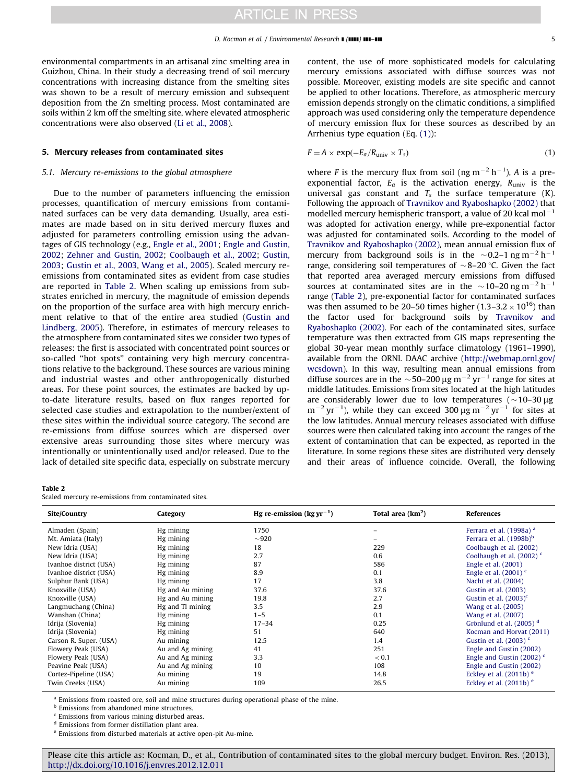<span id="page-4-0"></span>environmental compartments in an artisanal zinc smelting area in Guizhou, China. In their study a decreasing trend of soil mercury concentrations with increasing distance from the smelting sites was shown to be a result of mercury emission and subsequent deposition from the Zn smelting process. Most contaminated are soils within 2 km off the smelting site, where elevated atmospheric concentrations were also observed ([Li et al., 2008\)](#page-9-0).

#### 5. Mercury releases from contaminated sites

## 5.1. Mercury re-emissions to the global atmosphere

Due to the number of parameters influencing the emission processes, quantification of mercury emissions from contaminated surfaces can be very data demanding. Usually, area estimates are made based on in situ derived mercury fluxes and adjusted for parameters controlling emission using the advantages of GIS technology (e.g., [Engle et al., 2001;](#page-9-0) [Engle and Gustin,](#page-9-0) [2002;](#page-9-0) [Zehner and Gustin, 2002;](#page-10-0) [Coolbaugh et al., 2002](#page-9-0); [Gustin,](#page-9-0) [2003;](#page-9-0) [Gustin et al., 2003,](#page-9-0) [Wang et al., 2005](#page-10-0)). Scaled mercury reemissions from contaminated sites as evident from case studies are reported in Table 2. When scaling up emissions from substrates enriched in mercury, the magnitude of emission depends on the proportion of the surface area with high mercury enrichment relative to that of the entire area studied [\(Gustin and](#page-9-0) [Lindberg, 2005\)](#page-9-0). Therefore, in estimates of mercury releases to the atmosphere from contaminated sites we consider two types of releases: the first is associated with concentrated point sources or so-called ''hot spots'' containing very high mercury concentrations relative to the background. These sources are various mining and industrial wastes and other anthropogenically disturbed areas. For these point sources, the estimates are backed by upto-date literature results, based on flux ranges reported for selected case studies and extrapolation to the number/extent of these sites within the individual source category. The second are re-emissions from diffuse sources which are dispersed over extensive areas surrounding those sites where mercury was intentionally or unintentionally used and/or released. Due to the lack of detailed site specific data, especially on substrate mercury content, the use of more sophisticated models for calculating mercury emissions associated with diffuse sources was not possible. Moreover, existing models are site specific and cannot be applied to other locations. Therefore, as atmospheric mercury emission depends strongly on the climatic conditions, a simplified approach was used considering only the temperature dependence of mercury emission flux for these sources as described by an Arrhenius type equation (Eq. (1)):

$$
F = A \times \exp(-E_a/R_{\text{univ}} \times T_s)
$$
 (1)

where *F* is the mercury flux from soil (ng  $m^{-2}$  h<sup>-1</sup>), *A* is a preexponential factor,  $E_a$  is the activation energy,  $R_{\text{univ}}$  is the universal gas constant and  $T_s$  the surface temperature (K). Following the approach of [Travnikov and Ryaboshapko \(2002\)](#page-10-0) that modelled mercury hemispheric transport, a value of 20 kcal mol $^{-1}$ was adopted for activation energy, while pre-exponential factor was adjusted for contaminated soils. According to the model of [Travnikov and Ryaboshapko \(2002\)](#page-10-0), mean annual emission flux of mercury from background soils is in the  $\sim$ 0.2–1 ng m<sup>-2</sup> h<sup>-1</sup> range, considering soil temperatures of  $\sim$  8–20 °C. Given the fact that reported area averaged mercury emissions from diffused sources at contaminated sites are in the  $\sim$ 10–20 ng m<sup>-2</sup> h<sup>-1</sup> range (Table 2), pre-exponential factor for contaminated surfaces was then assumed to be 20–50 times higher  $(1.3-3.2 \times 10^{16})$  than the factor used for background soils by [Travnikov and](#page-10-0) [Ryaboshapko \(2002\).](#page-10-0) For each of the contaminated sites, surface temperature was then extracted from GIS maps representing the global 30-year mean monthly surface climatology (1961–1990), available from the ORNL DAAC archive [\(http://webmap.ornl.gov/](http://webmap.ornl.gov/wcsdown) [wcsdown](http://webmap.ornl.gov/wcsdown)). In this way, resulting mean annual emissions from diffuse sources are in the  $\sim$  50–200  $\mu$ g m<sup>-2</sup> yr<sup>-1</sup> range for sites at middle latitudes. Emissions from sites located at the high latitudes are considerably lower due to low temperatures  $(10-30 \mu g)$  $\rm m^{-2}\,yr^{-1}$ ), while they can exceed 300  $\rm \mu g\,m^{-2}\,yr^{-1}$  for sites at the low latitudes. Annual mercury releases associated with diffuse sources were then calculated taking into account the ranges of the extent of contamination that can be expected, as reported in the literature. In some regions these sites are distributed very densely and their areas of influence coincide. Overall, the following

#### Table 2

Scaled mercury re-emissions from contaminated sites.

| <b>Site/Country</b>    | Category         | Hg re-emission (kg $\text{yr}^{-1}$ ) | Total area (km <sup>2</sup> ) | References                             |
|------------------------|------------------|---------------------------------------|-------------------------------|----------------------------------------|
| Almaden (Spain)        | Hg mining        | 1750                                  |                               | Ferrara et al. (1998a) <sup>a</sup>    |
| Mt. Amiata (Italy)     | Hg mining        | $\sim$ 920                            | $\overline{\phantom{0}}$      | Ferrara et al. $(1998b)^b$             |
| New Idria (USA)        | Hg mining        | 18                                    | 229                           | Coolbaugh et al. (2002)                |
| New Idria (USA)        | Hg mining        | 2.7                                   | 0.6                           | Coolbaugh et al. $(2002)$ <sup>c</sup> |
| Ivanhoe district (USA) | Hg mining        | 87                                    | 586                           | Engle et al. (2001)                    |
| Ivanhoe district (USA) | Hg mining        | 8.9                                   | 0.1                           | Engle et al. $(2001)$ <sup>c</sup>     |
| Sulphur Bank (USA)     | Hg mining        | 17                                    | 3.8                           | Nacht et al. (2004)                    |
| Knoxville (USA)        | Hg and Au mining | 37.6                                  | 37.6                          | Gustin et al. (2003)                   |
| Knoxville (USA)        | Hg and Au mining | 19.8                                  | 2.7                           | Gustin et al. $(2003)^c$               |
| Langmuchang (China)    | Hg and Tl mining | 3.5                                   | 2.9                           | Wang et al. (2005)                     |
| Wanshan (China)        | Hg mining        | $1 - 5$                               | 0.1                           | Wang et al. (2007)                     |
| Idrija (Slovenia)      | Hg mining        | $17 - 34$                             | 0.25                          | Grönlund et al. $(2005)^d$             |
| Idrija (Slovenia)      | Hg mining        | 51                                    | 640                           | Kocman and Horvat (2011)               |
| Carson R. Super. (USA) | Au mining        | 12.5                                  | 1.4                           | Gustin et al. $(2003)$ <sup>c</sup>    |
| Flowery Peak (USA)     | Au and Ag mining | 41                                    | 251                           | Engle and Gustin (2002)                |
| Flowery Peak (USA)     | Au and Ag mining | 3.3                                   | < 0.1                         | Engle and Gustin $(2002)$ <sup>c</sup> |
| Peavine Peak (USA)     | Au and Ag mining | 10                                    | 108                           | Engle and Gustin (2002)                |
| Cortez-Pipeline (USA)  | Au mining        | 19                                    | 14.8                          | Eckley et al. $(2011b)$ <sup>e</sup>   |
| Twin Creeks (USA)      | Au mining        | 109                                   | 26.5                          | Eckley et al. $(2011b)$ <sup>e</sup>   |

<sup>a</sup> Emissions from roasted ore, soil and mine structures during operational phase of the mine.

**b** Emissions from abandoned mine structures.

 $\epsilon$  Emissions from various mining disturbed areas.

<sup>d</sup> Emissions from former distillation plant area.

<sup>e</sup> Emissions from disturbed materials at active open-pit Au-mine.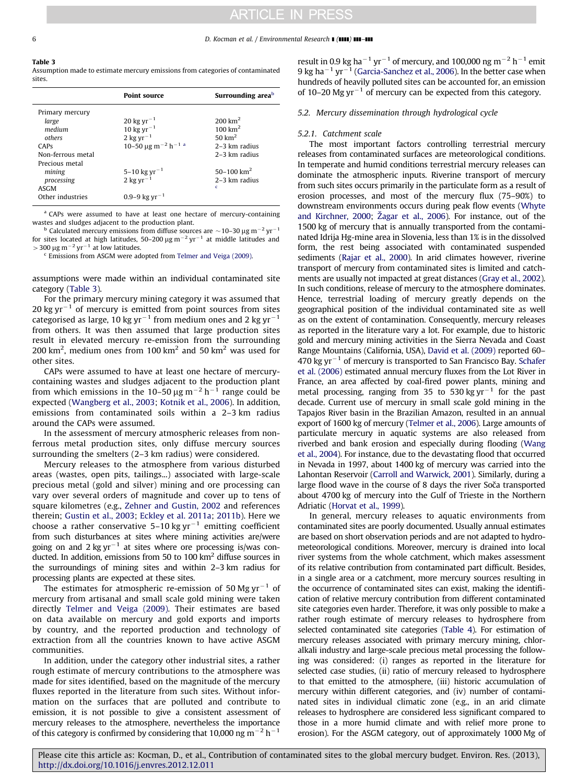#### 6 **D. Kocman et al. / Environmental Research 1 (1111) 111-111**

Table 3 Assumption made to estimate mercury emissions from categories of contaminated sites.

|                                     | <b>Point source</b>                                               | Surrounding area <sup>b</sup> |
|-------------------------------------|-------------------------------------------------------------------|-------------------------------|
| Primary mercury<br>large            | $20 \text{ kg yr}^{-1}$                                           | $200 \text{ km}^2$            |
| medium                              | $10 \text{ kg yr}^{-1}$                                           | $100 \text{ km}^2$            |
| others<br>CAPs                      | 2 kg $yr^{-1}$<br>10-50 $\mu$ g m <sup>-2</sup> h <sup>-1 a</sup> | 50 $km2$<br>2-3 km radius     |
| Non-ferrous metal<br>Precious metal |                                                                   | $2-3$ km radius               |
| mining                              | 5–10 kg $yr^{-1}$                                                 | 50-100 km <sup>2</sup>        |
| processing<br><b>ASGM</b>           | 2 kg $\text{yr}^{-1}$                                             | $2-3$ km radius<br>c          |
| Other industries                    | 0.9–9 kg $\rm yr^{-1}$                                            |                               |
|                                     |                                                                   |                               |

<sup>a</sup> CAPs were assumed to have at least one hectare of mercury-containing wastes and sludges adjacent to the production plant.

<sup>b</sup> Calculated mercury emissions from diffuse sources are  $\sim$ 10–30  $\mu$ g m<sup>-2</sup> yr<sup>-1</sup> for sites located at high latitudes, 50–200  $\mu$ g m $^{-2}$  yr $^{-1}$  at middle latitudes and  $>$  300  $\mu$ g m<sup>-2</sup> yr<sup>-1</sup> at low latitudes.

 $\epsilon$  Emissions from ASGM were adopted from [Telmer and Veiga \(2009\).](#page-10-0)

assumptions were made within an individual contaminated site category (Table 3).

For the primary mercury mining category it was assumed that 20 kg yr $^{-1}$  of mercury is emitted from point sources from sites categorised as large, 10 kg yr $^{-1}$  from medium ones and 2 kg yr $^{-1}$ from others. It was then assumed that large production sites result in elevated mercury re-emission from the surrounding 200 km<sup>2</sup>, medium ones from 100 km<sup>2</sup> and 50 km<sup>2</sup> was used for other sites.

CAPs were assumed to have at least one hectare of mercurycontaining wastes and sludges adjacent to the production plant from which emissions in the 10–50  $\mu$ g m<sup>-2</sup> h<sup>-1</sup> range could be expected ([Wangberg et al., 2003;](#page-10-0) [Kotnik et al., 2006](#page-9-0)). In addition, emissions from contaminated soils within a 2–3 km radius around the CAPs were assumed.

In the assessment of mercury atmospheric releases from nonferrous metal production sites, only diffuse mercury sources surrounding the smelters (2–3 km radius) were considered.

Mercury releases to the atmosphere from various disturbed areas (wastes, open pits, tailings...) associated with large-scale precious metal (gold and silver) mining and ore processing can vary over several orders of magnitude and cover up to tens of square kilometres (e.g., [Zehner and Gustin, 2002](#page-10-0) and references therein; [Gustin et al., 2003](#page-9-0); [Eckley et al. 2011a](#page-9-0); [2011b\)](#page-9-0). Here we choose a rather conservative  $5-10 \text{ kg yr}^{-1}$  emitting coefficient from such disturbances at sites where mining activities are/were going on and 2 kg yr<sup>-1</sup> at sites where ore processing is/was conducted. In addition, emissions from 50 to 100 km2 diffuse sources in the surroundings of mining sites and within 2–3 km radius for processing plants are expected at these sites.

The estimates for atmospheric re-emission of 50 Mg yr $^{-1}$  of mercury from artisanal and small scale gold mining were taken directly [Telmer and Veiga \(2009\)](#page-10-0). Their estimates are based on data available on mercury and gold exports and imports by country, and the reported production and technology of extraction from all the countries known to have active ASGM communities.

In addition, under the category other industrial sites, a rather rough estimate of mercury contributions to the atmosphere was made for sites identified, based on the magnitude of the mercury fluxes reported in the literature from such sites. Without information on the surfaces that are polluted and contribute to emission, it is not possible to give a consistent assessment of mercury releases to the atmosphere, nevertheless the importance of this category is confirmed by considering that 10,000 ng m $^{-2}$  h $^{-1}$ 

result in 0.9 kg ha<sup>-1</sup> yr<sup>-1</sup> of mercury, and 100,000 ng m<sup>-2</sup> h<sup>-1</sup> emit 9 kg ha<sup> $-1$ </sup> yr $^{-1}$  [\(Garcia-Sanchez et al., 2006](#page-9-0)). In the better case when hundreds of heavily polluted sites can be accounted for, an emission of 10-20 Mg  $yr^{-1}$  of mercury can be expected from this category.

## 5.2. Mercury dissemination through hydrological cycle

## 5.2.1. Catchment scale

The most important factors controlling terrestrial mercury releases from contaminated surfaces are meteorological conditions. In temperate and humid conditions terrestrial mercury releases can dominate the atmospheric inputs. Riverine transport of mercury from such sites occurs primarily in the particulate form as a result of erosion processes, and most of the mercury flux (75–90%) to downstream environments occurs during peak flow events ([Whyte](#page-10-0) [and Kirchner, 2000;](#page-10-0) Žagar et al., 2006). For instance, out of the 1500 kg of mercury that is annually transported from the contaminated Idrija Hg-mine area in Slovenia, less than 1% is in the dissolved form, the rest being associated with contaminated suspended sediments [\(Rajar et al., 2000\)](#page-10-0). In arid climates however, riverine transport of mercury from contaminated sites is limited and catchments are usually not impacted at great distances ([Gray et al., 2002\)](#page-9-0). In such conditions, release of mercury to the atmosphere dominates. Hence, terrestrial loading of mercury greatly depends on the geographical position of the individual contaminated site as well as on the extent of contamination. Consequently, mercury releases as reported in the literature vary a lot. For example, due to historic gold and mercury mining activities in the Sierra Nevada and Coast Range Mountains (California, USA), [David et al. \(2009\)](#page-9-0) reported 60–  $470$  kg yr $^{-1}$  of mercury is transported to San Francisco Bay. [Schafer](#page-10-0) [et al. \(2006\)](#page-10-0) estimated annual mercury fluxes from the Lot River in France, an area affected by coal-fired power plants, mining and metal processing, ranging from 35 to 530 kg  $yr^{-1}$  for the past decade. Current use of mercury in small scale gold mining in the Tapajos River basin in the Brazilian Amazon, resulted in an annual export of 1600 kg of mercury [\(Telmer et al., 2006](#page-10-0)). Large amounts of particulate mercury in aquatic systems are also released from riverbed and bank erosion and especially during flooding ([Wang](#page-10-0) [et al., 2004\)](#page-10-0). For instance, due to the devastating flood that occurred in Nevada in 1997, about 1400 kg of mercury was carried into the Lahontan Reservoir [\(Carroll and Warwick, 2001](#page-9-0)). Similarly, during a large flood wave in the course of 8 days the river Soca transported about 4700 kg of mercury into the Gulf of Trieste in the Northern Adriatic [\(Horvat et al., 1999](#page-9-0)).

In general, mercury releases to aquatic environments from contaminated sites are poorly documented. Usually annual estimates are based on short observation periods and are not adapted to hydrometeorological conditions. Moreover, mercury is drained into local river systems from the whole catchment, which makes assessment of its relative contribution from contaminated part difficult. Besides, in a single area or a catchment, more mercury sources resulting in the occurrence of contaminated sites can exist, making the identification of relative mercury contribution from different contaminated site categories even harder. Therefore, it was only possible to make a rather rough estimate of mercury releases to hydrosphere from selected contaminated site categories [\(Table 4](#page-6-0)). For estimation of mercury releases associated with primary mercury mining, chloralkali industry and large-scale precious metal processing the following was considered: (i) ranges as reported in the literature for selected case studies, (ii) ratio of mercury released to hydrosphere to that emitted to the atmosphere, (iii) historic accumulation of mercury within different categories, and (iv) number of contaminated sites in individual climatic zone (e.g., in an arid climate releases to hydrosphere are considered less significant compared to those in a more humid climate and with relief more prone to erosion). For the ASGM category, out of approximately 1000 Mg of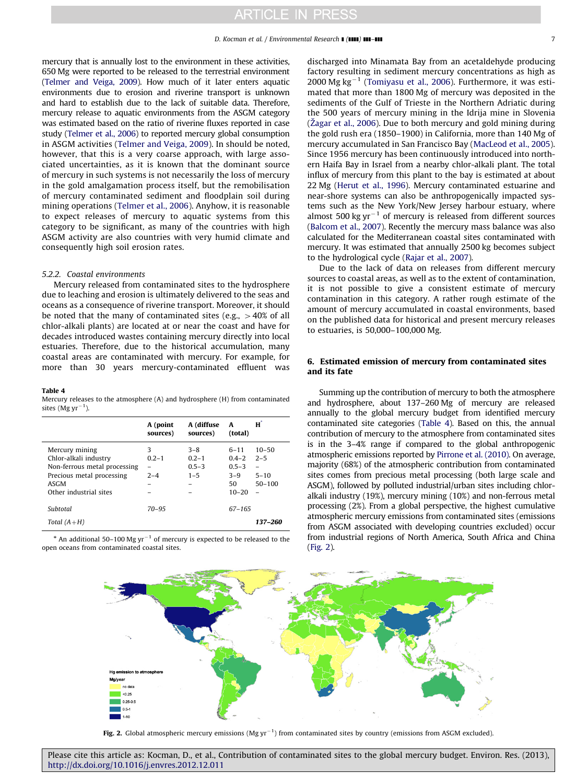<span id="page-6-0"></span>mercury that is annually lost to the environment in these activities, 650 Mg were reported to be released to the terrestrial environment [\(Telmer and Veiga, 2009](#page-10-0)). How much of it later enters aquatic environments due to erosion and riverine transport is unknown and hard to establish due to the lack of suitable data. Therefore, mercury release to aquatic environments from the ASGM category was estimated based on the ratio of riverine fluxes reported in case study [\(Telmer et al., 2006](#page-10-0)) to reported mercury global consumption in ASGM activities [\(Telmer and Veiga, 2009](#page-10-0)). In should be noted, however, that this is a very coarse approach, with large associated uncertainties, as it is known that the dominant source of mercury in such systems is not necessarily the loss of mercury in the gold amalgamation process itself, but the remobilisation of mercury contaminated sediment and floodplain soil during mining operations [\(Telmer et al., 2006](#page-10-0)). Anyhow, it is reasonable to expect releases of mercury to aquatic systems from this category to be significant, as many of the countries with high ASGM activity are also countries with very humid climate and consequently high soil erosion rates.

#### 5.2.2. Coastal environments

Mercury released from contaminated sites to the hydrosphere due to leaching and erosion is ultimately delivered to the seas and oceans as a consequence of riverine transport. Moreover, it should be noted that the many of contaminated sites (e.g.,  $>40\%$  of all chlor-alkali plants) are located at or near the coast and have for decades introduced wastes containing mercury directly into local estuaries. Therefore, due to the historical accumulation, many coastal areas are contaminated with mercury. For example, for more than 30 years mercury-contaminated effluent was

#### Table 4

Mercury releases to the atmosphere (A) and hydrosphere (H) from contaminated sites (Mg  $\rm{yr}^{-1}$ ).

|                                                                                                                                               | A (point<br>sources)      | A (diffuse<br>sources)                       | A<br>(total)                                                     | HÏ                                             |
|-----------------------------------------------------------------------------------------------------------------------------------------------|---------------------------|----------------------------------------------|------------------------------------------------------------------|------------------------------------------------|
| Mercury mining<br>Chlor-alkali industry<br>Non-ferrous metal processing<br>Precious metal processing<br><b>ASGM</b><br>Other industrial sites | 3<br>$0.2 - 1$<br>$2 - 4$ | $3 - 8$<br>$0.2 - 1$<br>$0.5 - 3$<br>$1 - 5$ | $6 - 11$<br>$0.4 - 2$<br>$0.5 - 3$<br>$3 - 9$<br>50<br>$10 - 20$ | $10 - 50$<br>$2 - 5$<br>$5 - 10$<br>$50 - 100$ |
| Subtotal<br>Total $(A+H)$                                                                                                                     | $70 - 95$                 |                                              | 67-165                                                           | 137–260                                        |

 $*$  An additional 50–100 Mg yr<sup>-1</sup> of mercury is expected to be released to the open oceans from contaminated coastal sites.

discharged into Minamata Bay from an acetaldehyde producing factory resulting in sediment mercury concentrations as high as  $2000$  Mg kg<sup> $-1$ </sup> [\(Tomiyasu et al., 2006](#page-10-0)). Furthermore, it was estimated that more than 1800 Mg of mercury was deposited in the sediments of the Gulf of Trieste in the Northern Adriatic during the 500 years of mercury mining in the Idrija mine in Slovenia  $(Za)$  ( $Za$ gar et al., 2006). Due to both mercury and gold mining during the gold rush era (1850–1900) in California, more than 140 Mg of mercury accumulated in San Francisco Bay ([MacLeod et al., 2005\)](#page-9-0). Since 1956 mercury has been continuously introduced into northern Haifa Bay in Israel from a nearby chlor-alkali plant. The total influx of mercury from this plant to the bay is estimated at about 22 Mg ([Herut et al., 1996\)](#page-9-0). Mercury contaminated estuarine and near-shore systems can also be anthropogenically impacted systems such as the New York/New Jersey harbour estuary, where almost 500 kg  $yr^{-1}$  of mercury is released from different sources ([Balcom et al., 2007](#page-9-0)). Recently the mercury mass balance was also calculated for the Mediterranean coastal sites contaminated with mercury. It was estimated that annually 2500 kg becomes subject to the hydrological cycle ([Rajar et al., 2007\)](#page-10-0).

Due to the lack of data on releases from different mercury sources to coastal areas, as well as to the extent of contamination, it is not possible to give a consistent estimate of mercury contamination in this category. A rather rough estimate of the amount of mercury accumulated in coastal environments, based on the published data for historical and present mercury releases to estuaries, is 50,000–100,000 Mg.

## 6. Estimated emission of mercury from contaminated sites and its fate

Summing up the contribution of mercury to both the atmosphere and hydrosphere, about 137–260 Mg of mercury are released annually to the global mercury budget from identified mercury contaminated site categories (Table 4). Based on this, the annual contribution of mercury to the atmosphere from contaminated sites is in the 3–4% range if compared to the global anthropogenic atmospheric emissions reported by [Pirrone et al. \(2010\).](#page-9-0) On average, majority (68%) of the atmospheric contribution from contaminated sites comes from precious metal processing (both large scale and ASGM), followed by polluted industrial/urban sites including chloralkali industry (19%), mercury mining (10%) and non-ferrous metal processing (2%). From a global perspective, the highest cumulative atmospheric mercury emissions from contaminated sites (emissions from ASGM associated with developing countries excluded) occur from industrial regions of North America, South Africa and China (Fig. 2).



Fig. 2. Global atmospheric mercury emissions (Mg yr<sup>-1</sup>) from contaminated sites by country (emissions from ASGM excluded).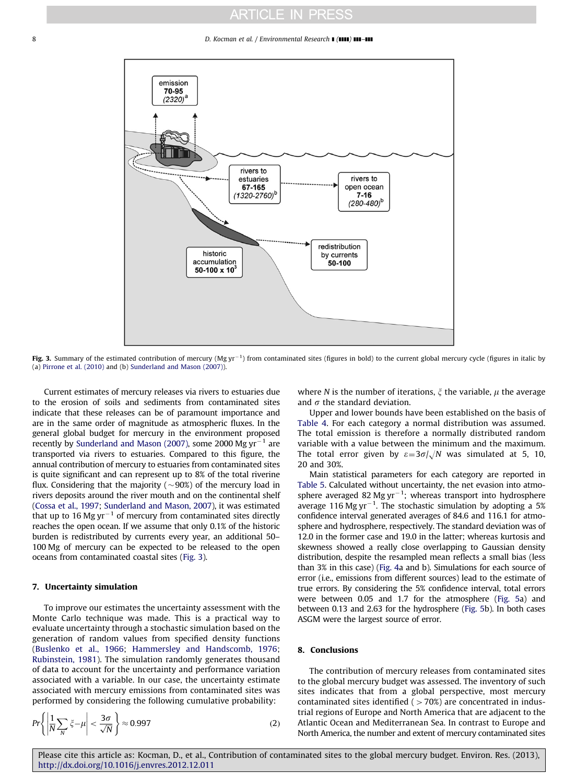#### 8 **B.** Coman et al. / Environmental Research **I** (IIII) **III-III**



Fig. 3. Summary of the estimated contribution of mercury (Mg yr<sup>-1</sup>) from contaminated sites (figures in bold) to the current global mercury cycle (figures in italic by (a) [Pirrone et al. \(2010\)](#page-9-0) and (b) [Sunderland and Mason \(2007\)\)](#page-10-0).

Current estimates of mercury releases via rivers to estuaries due to the erosion of soils and sediments from contaminated sites indicate that these releases can be of paramount importance and are in the same order of magnitude as atmospheric fluxes. In the general global budget for mercury in the environment proposed recently by [Sunderland and Mason \(2007\)](#page-10-0), some 2000 Mg yr $^{-1}$  are transported via rivers to estuaries. Compared to this figure, the annual contribution of mercury to estuaries from contaminated sites is quite significant and can represent up to 8% of the total riverine flux. Considering that the majority ( $\sim$ 90%) of the mercury load in rivers deposits around the river mouth and on the continental shelf ([Cossa et al., 1997](#page-9-0); [Sunderland and Mason, 2007](#page-10-0)), it was estimated that up to 16 Mg yr $^{-1}$  of mercury from contaminated sites directly reaches the open ocean. If we assume that only 0.1% of the historic burden is redistributed by currents every year, an additional 50– 100 Mg of mercury can be expected to be released to the open oceans from contaminated coastal sites (Fig. 3).

## 7. Uncertainty simulation

To improve our estimates the uncertainty assessment with the Monte Carlo technique was made. This is a practical way to evaluate uncertainty through a stochastic simulation based on the generation of random values from specified density functions ([Buslenko et al., 1966](#page-9-0); [Hammersley and Handscomb, 1976;](#page-9-0) [Rubinstein, 1981](#page-10-0)). The simulation randomly generates thousand of data to account for the uncertainty and performance variation associated with a variable. In our case, the uncertainty estimate associated with mercury emissions from contaminated sites was performed by considering the following cumulative probability:

$$
Pr\left\{ \left| \frac{1}{N} \sum_{N} \xi - \mu \right| < \frac{3\sigma}{\sqrt{N}} \right\} \approx 0.997 \tag{2}
$$

where N is the number of iterations,  $\xi$  the variable,  $\mu$  the average and  $\sigma$  the standard deviation.

Upper and lower bounds have been established on the basis of [Table 4.](#page-6-0) For each category a normal distribution was assumed. The total emission is therefore a normally distributed random variable with a value between the minimum and the maximum. The total error given by  $\varepsilon = 3\sigma/\sqrt{N}$  was simulated at 5, 10, 20 and 30%.

Main statistical parameters for each category are reported in [Table 5.](#page-8-0) Calculated without uncertainty, the net evasion into atmosphere averaged 82 Mg  $yr^{-1}$ ; whereas transport into hydrosphere average 116 Mg yr<sup> $-1$ </sup>. The stochastic simulation by adopting a 5% confidence interval generated averages of 84.6 and 116.1 for atmosphere and hydrosphere, respectively. The standard deviation was of 12.0 in the former case and 19.0 in the latter; whereas kurtosis and skewness showed a really close overlapping to Gaussian density distribution, despite the resampled mean reflects a small bias (less than 3% in this case) [\(Fig. 4](#page-8-0)a and b). Simulations for each source of error (i.e., emissions from different sources) lead to the estimate of true errors. By considering the 5% confidence interval, total errors were between 0.05 and 1.7 for the atmosphere [\(Fig. 5a](#page-8-0)) and between 0.13 and 2.63 for the hydrosphere [\(Fig. 5](#page-8-0)b). In both cases ASGM were the largest source of error.

### 8. Conclusions

The contribution of mercury releases from contaminated sites to the global mercury budget was assessed. The inventory of such sites indicates that from a global perspective, most mercury contaminated sites identified  $(>70%)$  are concentrated in industrial regions of Europe and North America that are adjacent to the Atlantic Ocean and Mediterranean Sea. In contrast to Europe and North America, the number and extent of mercury contaminated sites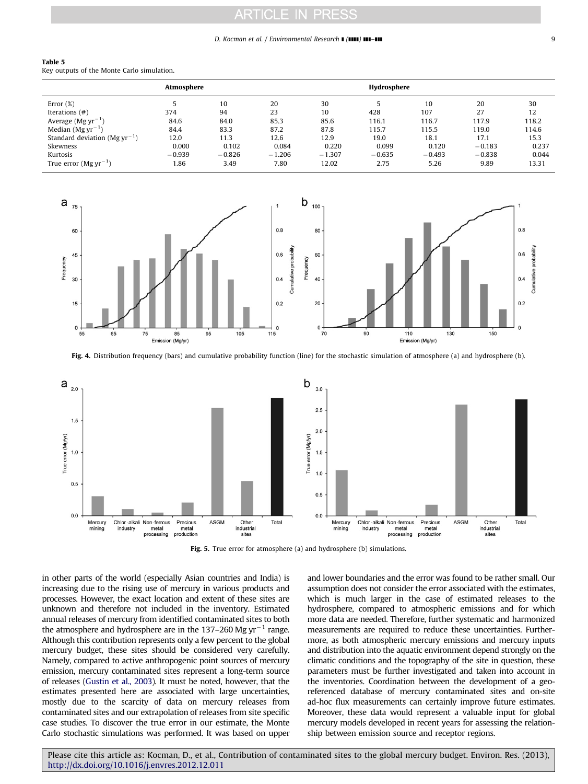## D. Kocman et al. / Environmental Research **I (IIII) III-III**  $\qquad \qquad$ ]

<span id="page-8-0"></span>

| Table 5                                    |  |  |
|--------------------------------------------|--|--|
| Key outputs of the Monte Carlo simulation. |  |  |

|                                           | Atmosphere |          |          |          | Hydrosphere |          |          |       |
|-------------------------------------------|------------|----------|----------|----------|-------------|----------|----------|-------|
| Error $(\%)$                              |            | 10       | 20       | 30       |             | 10       | 20       | 30    |
| Iterations $($ #)                         | 374        | 94       | 23       | 10       | 428         | 107      | 27       | 12    |
| Average (Mg $yr^{-1}$ )                   | 84.6       | 84.0     | 85.3     | 85.6     | 116.1       | 116.7    | 117.9    | 118.2 |
| Median (Mg $yr^{-1}$ )                    | 84.4       | 83.3     | 87.2     | 87.8     | 115.7       | 115.5    | 119.0    | 114.6 |
| Standard deviation (Mg $\text{yr}^{-1}$ ) | 12.0       | 11.3     | 12.6     | 12.9     | 19.0        | 18.1     | 17.1     | 15.3  |
| Skewness                                  | 0.000      | 0.102    | 0.084    | 0.220    | 0.099       | 0.120    | $-0.183$ | 0.237 |
| Kurtosis                                  | $-0.939$   | $-0.826$ | $-1.206$ | $-1.307$ | $-0.635$    | $-0.493$ | $-0.838$ | 0.044 |
| True error (Mg $yr^{-1}$ )                | 1.86       | 3.49     | 7.80     | 12.02    | 2.75        | 5.26     | 9.89     | 13.31 |



Fig. 4. Distribution frequency (bars) and cumulative probability function (line) for the stochastic simulation of atmosphere (a) and hydrosphere (b).



Fig. 5. True error for atmosphere (a) and hydrosphere (b) simulations.

in other parts of the world (especially Asian countries and India) is increasing due to the rising use of mercury in various products and processes. However, the exact location and extent of these sites are unknown and therefore not included in the inventory. Estimated annual releases of mercury from identified contaminated sites to both the atmosphere and hydrosphere are in the 137–260 Mg yr $^{-1}$  range. Although this contribution represents only a few percent to the global mercury budget, these sites should be considered very carefully. Namely, compared to active anthropogenic point sources of mercury emission, mercury contaminated sites represent a long-term source of releases [\(Gustin et al., 2003](#page-9-0)). It must be noted, however, that the estimates presented here are associated with large uncertainties, mostly due to the scarcity of data on mercury releases from contaminated sites and our extrapolation of releases from site specific case studies. To discover the true error in our estimate, the Monte Carlo stochastic simulations was performed. It was based on upper and lower boundaries and the error was found to be rather small. Our assumption does not consider the error associated with the estimates, which is much larger in the case of estimated releases to the hydrosphere, compared to atmospheric emissions and for which more data are needed. Therefore, further systematic and harmonized measurements are required to reduce these uncertainties. Furthermore, as both atmospheric mercury emissions and mercury inputs and distribution into the aquatic environment depend strongly on the climatic conditions and the topography of the site in question, these parameters must be further investigated and taken into account in the inventories. Coordination between the development of a georeferenced database of mercury contaminated sites and on-site ad-hoc flux measurements can certainly improve future estimates. Moreover, these data would represent a valuable input for global mercury models developed in recent years for assessing the relationship between emission source and receptor regions.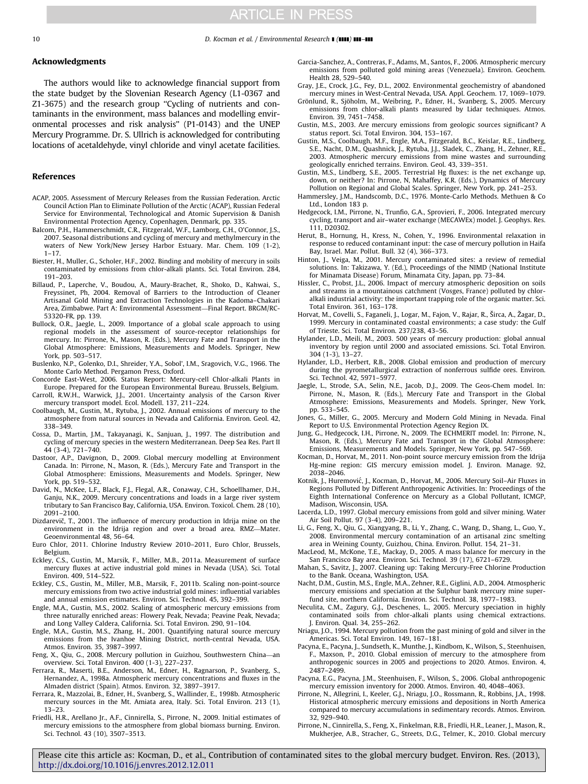#### <span id="page-9-0"></span>Acknowledgments

The authors would like to acknowledge financial support from the state budget by the Slovenian Research Agency (L1-0367 and Z1-3675) and the research group "Cycling of nutrients and contaminants in the environment, mass balances and modelling environmental processes and risk analysis'' (P1-0143) and the UNEP Mercury Programme. Dr. S. Ullrich is acknowledged for contributing locations of acetaldehyde, vinyl chloride and vinyl acetate facilities.

#### References

- ACAP, 2005. Assessment of Mercury Releases from the Russian Federation. Arctic Council Action Plan to Eliminate Pollution of the Arctic (ACAP), Russian Federal Service for Environmental, Technological and Atomic Supervision & Danish Environmental Protection Agency, Copenhagen, Denmark, pp. 335.
- Balcom, P.H., Hammerschmidt, C.R., Fitzgerald, W.F., Lamborg, C.H., O'Connor, J.S., 2007. Seasonal distributions and cycling of mercury and methylmercury in the waters of New York/New Jersey Harbor Estuary. Mar. Chem. 109 (1-2), 1–17.
- Biester, H., Muller, G., Scholer, H.F., 2002. Binding and mobility of mercury in soils contaminated by emissions from chlor-alkali plants. Sci. Total Environ. 284, 191–203.
- Billaud, P., Laperche, V., Boudou, A., Maury-Brachet, R., Shoko, D., Kahwai, S., Freyssinet, Ph, 2004. Removal of Barriers to the Introduction of Cleaner Artisanal Gold Mining and Extraction Technologies in the Kadoma–Chakari Area, Zimbabwe. Part A: Environmental Assessment—Final Report. BRGM/RC-53320-FR, pp. 139.
- Bullock, O.R., Jaegle, L., 2009. Importance of a global scale approach to using regional models in the assessment of source-receptor relationships for mercury. In: Pirrone, N., Mason, R. (Eds.), Mercury Fate and Transport in the Global Atmosphere: Emissions, Measurements and Models. Springer, New York, pp. 503–517.
- Buslenko, N.P., Golenko, D.I., Shreider, Y.A., Sobol', I.M., Sragovich, V.G., 1966. The Monte Carlo Method. Pergamon Press, Oxford.
- Concorde East-West, 2006. Status Report: Mercury-cell Chlor-alkali Plants in Europe. Prepared for the European Environmental Bureau. Brussels, Belgium.
- Carroll, R.W.H., Warwick, J.J., 2001. Uncertainty analysis of the Carson River mercury transport model. Ecol. Modell. 137, 211–224.
- Coolbaugh, M., Gustin, M., Rytuba, J., 2002. Annual emissions of mercury to the atmosphere from natural sources in Nevada and California. Environ. Geol. 42, 338–349.
- Cossa, D., Martin, J.M., Takayanagi, K., Sanjuan, J., 1997. The distribution and cycling of mercury species in the western Mediterranean. Deep Sea Res. Part II 44 (3-4), 721–740.
- Dastoor, A.P., Davignon, D., 2009. Global mercury modelling at Environment Canada. In: Pirrone, N., Mason, R. (Eds.), Mercury Fate and Transport in the Global Atmosphere: Emissions, Measurements and Models. Springer, New York, pp. 519–532.
- David, N., McKee, L.F., Black, F.J., Flegal, A.R., Conaway, C.H., Schoellhamer, D.H., Ganju, N.K., 2009. Mercury concentrations and loads in a large river system tributary to San Francisco Bay, California, USA. Environ. Toxicol. Chem. 28 (10), 2091–2100.
- Dizdarevič, T., 2001. The influence of mercury production in Idrija mine on the environment in the Idrija region and over a broad area. RMZ—Mater. Geoenvironmental 48, 56–64.
- Euro Chlor, 2011. Chlorine Industry Review 2010–2011, Euro Chlor, Brussels, Belgium.
- Eckley, C.S., Gustin, M., Marsik, F., Miller, M.B., 2011a. Measurement of surface mercury fluxes at active industrial gold mines in Nevada (USA). Sci. Total Environ. 409, 514–522.
- Eckley, C.S., Gustin, M., Miller, M.B., Marsik, F., 2011b. Scaling non-point-source mercury emissions from two active industrial gold mines: influential variables and annual emission estimates. Environ. Sci. Technol. 45, 392–399.
- Engle, M.A., Gustin, M.S., 2002. Scaling of atmospheric mercury emissions from three naturally enriched areas: Flowery Peak, Nevada; Peavine Peak, Nevada; and Long Valley Caldera, California. Sci. Total Environ. 290, 91–104.
- Engle, M.A., Gustin, M.S., Zhang, H., 2001. Quantifying natural source mercury emissions from the Ivanhoe Mining District, north-central Nevada, USA. Atmos. Environ. 35, 3987–3997.
- Feng, X., Qiu, G., 2008. Mercury pollution in Guizhou, Southwestern China—an overview. Sci. Total Environ. 400 (1-3), 227–237.
- Ferrara, R., Maserti, B.E., Anderson, M., Edner, H., Ragnarson, P., Svanberg, S., Hernandez, A., 1998a. Atmospheric mercury concentrations and fluxes in the Almaden district (Spain). Atmos. Environ. 32, 3897–3917.
- Ferrara, R., Mazzolai, B., Edner, H., Svanberg, S., Wallinder, E., 1998b. Atmospheric mercury sources in the Mt. Amiata area, Italy. Sci. Total Environ. 213 (1), 13–23.
- Friedli, H.R., Arellano Jr., A.F., Cinnirella, S., Pirrone, N., 2009. Initial estimates of mercury emissions to the atmosphere from global biomass burning. Environ. Sci. Technol. 43 (10), 3507–3513.
- Garcia-Sanchez, A., Contreras, F., Adams, M., Santos, F., 2006. Atmospheric mercury emissions from polluted gold mining areas (Venezuela). Environ. Geochem. Health 28, 529–540.
- Gray, J.E., Crock, J.G., Fey, D.L., 2002. Environmental geochemistry of abandoned mercury mines in West-Central Nevada, USA. Appl. Geochem. 17, 1069–1079.
- Grönlund, R., Sjöholm, M., Weibring, P., Edner, H., Svanberg, S., 2005. Mercury emissions from chlor-alkali plants measured by Lidar techniques. Atmos. Environ. 39, 7451–7458.
- Gustin, M.S., 2003. Are mercury emissions from geologic sources significant? A status report. Sci. Total Environ. 304, 153–167.
- Gustin, M.S., Coolbaugh, M.F., Engle, M.A., Fitzgerald, B.C., Keislar, R.E., Lindberg, S.E., Nacht, D.M., Quashnick, J., Rytuba, J.J., Sladek, C., Zhang, H., Zehner, R.E., 2003. Atmospheric mercury emissions from mine wastes and surrounding geologically enriched terrains. Environ. Geol. 43, 339–351.
- Gustin, M.S., Lindberg, S.E., 2005. Terrestrial Hg fluxes: is the net exchange up, down, or neither? In: Pirrone, N, Mahaffey, K.R. (Eds.), Dynamics of Mercury Pollution on Regional and Global Scales. Springer, New York, pp. 241–253.
- Hammersley, J.M., Handscomb, D.C., 1976. Monte-Carlo Methods. Methuen & Co Ltd., London 183 p.
- Hedgecock, I.M., Pirrone, N., Trunfio, G.A., Sprovieri, F., 2006. Integrated mercury cycling, transport and air–water exchange (MECAWEx) model. J. Geophys. Res. 111, D20302.
- Herut, B., Hornung, H., Kress, N., Cohen, Y., 1996. Environmental relaxation in response to reduced contaminant input: the case of mercury pollution in Haifa Bay, Israel. Mar. Pollut. Bull. 32 (4), 366–373.
- Hinton, J., Veiga, M., 2001. Mercury contaminated sites: a review of remedial solutions. In: Takizawa, Y. (Ed.), Proceedings of the NIMD (National Institute for Minamata Disease) Forum, Minamata City, Japan, pp. 73–84.
- Hissler, C., Probst, J.L., 2006. Impact of mercury atmospheric deposition on soils and streams in a mountainous catchment (Vosges, France) polluted by chloralkali industrial activity: the important trapping role of the organic matter. Sci. Total Environ. 361, 163–178.
- Horvat, M., Covelli, S., Faganeli, J., Logar, M., Fajon, V., Rajar, R., Širca, A., Žagar, D., 1999. Mercury in contaminated coastal environments; a case study: the Gulf of Trieste. Sci. Total Environ. 237/238, 43–56.
- Hylander, L.D., Meili, M., 2003. 500 years of mercury production: global annual inventory by region until 2000 and associated emissions. Sci. Total Environ. 304 (1-3), 13–27.
- Hylander, L.D., Herbert, R.B., 2008. Global emission and production of mercury during the pyrometallurgical extraction of nonferrous sulfide ores. Environ. Sci. Technol. 42, 5971–5977.
- Jaegle, L., Strode, S.A., Selin, N.E., Jacob, D.J., 2009. The Geos-Chem model. In: Pirrone, N., Mason, R. (Eds.), Mercury Fate and Transport in the Global Atmosphere: Emissions, Measurements and Models. Springer, New York, pp. 533–545.
- Jones, G., Miller, G., 2005. Mercury and Modern Gold Mining in Nevada. Final Report to U.S. Environmental Protection Agency Region IX.
- Jung, G., Hedgecock, I.H., Pirrone, N., 2009. The ECHMERIT model. In: Pirrone, N., Mason, R. (Eds.), Mercury Fate and Transport in the Global Atmosphere: Emissions, Measurements and Models. Springer, New York, pp. 547–569.
- Kocman, D., Horvat, M., 2011. Non-point source mercury emission from the Idrija Hg-mine region: GIS mercury emission model. J. Environ. Manage. 92, 2038–2046.
- Kotnik, J., Huremović, J., Kocman, D., Horvat, M., 2006. Mercury Soil-Air Fluxes in Regions Polluted by Different Anthropogenic Activities. In: Proceedings of the Eighth International Conference on Mercury as a Global Pollutant, ICMGP, Madison, Wisconsin, USA.
- Lacerda, L.D., 1997. Global mercury emissions from gold and silver mining. Water Air Soil Pollut. 97 (3-4), 209–221.
- Li, G., Feng, X., Qiu, G., Xiangyang, B., Li, Y., Zhang, C., Wang, D., Shang, L., Guo, Y., 2008. Environmental mercury contamination of an artisanal zinc smelting area in Weining County, Guizhou, China. Environ. Pollut. 154, 21–31.
- MacLeod, M., McKone, T.E., Mackay, D., 2005. A mass balance for mercury in the San Francisco Bay area. Environ. Sci. Technol. 39 (17), 6721–6729.
- Mahan, S., Savitz, J., 2007. Cleaning up: Taking Mercury-Free Chlorine Production
- to the Bank. Oceana, Washington, USA. Nacht, D.M., Gustin, M.S., Engle, M.A., Zehner, R.E., Giglini, A.D., 2004. Atmospheric mercury emissions and speciation at the Sulphur bank mercury mine superfund site, northern California. Environ. Sci. Technol. 38, 1977–1983.
- Neculita, C.M., Zagury, G.J., Deschenes, L., 2005. Mercury speciation in highly contaminated soils from chlor-alkali plants using chemical extractions. J. Environ. Qual. 34, 255–262.
- Nriagu, J.O., 1994. Mercury pollution from the past mining of gold and silver in the Americas. Sci. Total Environ. 149, 167–181.
- Pacyna, E., Pacyna, J., Sundseth, K., Munthe, J., Kindbom, K., Wilson, S., Steenhuisen, F., Maxson, P., 2010. Global emission of mercury to the atmosphere from anthropogenic sources in 2005 and projections to 2020. Atmos. Environ. 4, 2487–2499.
- Pacyna, E.G., Pacyna, J.M., Steenhuisen, F., Wilson, S., 2006. Global anthropogenic mercury emission inventory for 2000. Atmos. Environ. 40, 4048–4063.
- Pirrone, N., Allegrini, I., Keeler, G.J., Nriagu, J.O., Rossmann, R., Robbins, J.A., 1998. Historical atmospheric mercury emissions and depositions in North America compared to mercury accumulations in sedimentary records. Atmos. Environ. 32, 929–940.
- Pirrone, N., Cinnirella, S., Feng, X., Finkelman, R.B., Friedli, H.R., Leaner, J., Mason, R., Mukherjee, A.B., Stracher, G., Streets, D.G., Telmer, K., 2010. Global mercury